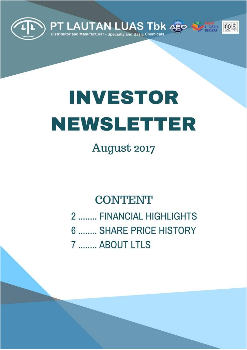

# **INVESTOR** NEWSLETTER

August 2017

### **CONTENT**

2 ........ FINANCIAL HIGHLIGHTS

6 ........ SHARE PRICE HISTORY 7 ........ ABOUT LTLS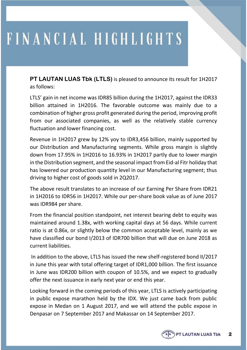**PT LAUTAN LUAS Tbk (LTLS)** is pleased to announce its result for 1H2017 as follows:

LTLS' gain in net income was IDR85 billion during the 1H2017, against the IDR33 billion attained in 1H2016. The favorable outcome was mainly due to a combination of higher gross profit generated during the period, improving profit from our associated companies, as well as the relatively stable currency fluctuation and lower financing cost.

Revenue in 1H2017 grew by 12% yoy to IDR3,456 billion, mainly supported by our Distribution and Manufacturing segments. While gross margin is slightly down from 17.95% in 1H2016 to 16.93% in 1H2017 partly due to lower margin in the Distribution segment, and the seasonal impact from Eid-al Fitr holiday that has lowered our production quantity level in our Manufacturing segment; thus driving to higher cost of goods sold in 2Q2017.

The above result translates to an increase of our Earning Per Share from IDR21 in 1H2016 to IDR56 in 1H2017. While our per-share book value as of June 2017 was IDR984 per share.

From the financial position standpoint, net interest bearing debt to equity was maintained around 1.38x, with working capital days at 56 days. While current ratio is at 0.86x, or slightly below the common acceptable level, mainly as we have classified our bond I/2013 of IDR700 billion that will due on June 2018 as current liabilities.

In addition to the above, LTLS has issued the new shelf-registered bond II/2017 in June this year with total offering target of IDR1,000 billion. The first issuance in June was IDR200 billion with coupon of 10.5%, and we expect to gradually offer the next issuance in early next year or end this year.

Looking forward in the coming periods of this year, LTLS is actively participating in public expose marathon held by the IDX. We just came back from public expose in Medan on 1 August 2017, and we will attend the public expose in Denpasar on 7 September 2017 and Makassar on 14 September 2017.

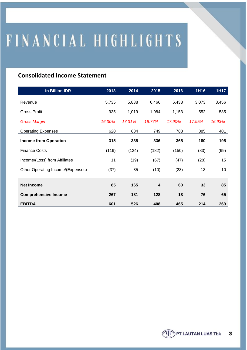#### **Consolidated Income Statement**

| in Billion IDR                    | 2013   | 2014   | $\overline{2015}$       | 2016   | 1H16   | 1H17   |
|-----------------------------------|--------|--------|-------------------------|--------|--------|--------|
| Revenue                           | 5,735  | 5,888  | 6,466                   | 6,438  | 3,073  | 3,456  |
| <b>Gross Profit</b>               | 935    | 1,019  | 1,084                   | 1,153  | 552    | 585    |
| <b>Gross Margin</b>               | 16.30% | 17.31% | 16.77%                  | 17.90% | 17.95% | 16.93% |
| <b>Operating Expenses</b>         | 620    | 684    | 749                     | 788    | 385    | 401    |
| <b>Income from Operation</b>      | 315    | 335    | 336                     | 365    | 180    | 195    |
| <b>Finance Costs</b>              | (116)  | (124)  | (182)                   | (150)  | (83)   | (69)   |
| Income/(Loss) from Affiliates     | 11     | (19)   | (67)                    | (47)   | (28)   | 15     |
| Other Operating Income/(Expenses) | (37)   | 85     | (10)                    | (23)   | 13     | 10     |
|                                   |        |        |                         |        |        |        |
| <b>Net Income</b>                 | 85     | 165    | $\overline{\mathbf{4}}$ | 60     | 33     | 85     |
| <b>Comprehensive Income</b>       | 267    | 181    | 128                     | 18     | 76     | 65     |
| <b>EBITDA</b>                     | 601    | 526    | 408                     | 465    | 214    | 269    |

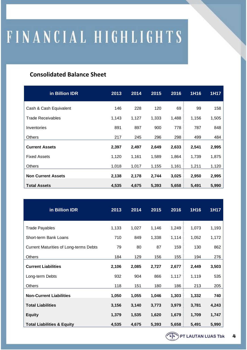#### **Consolidated Balance Sheet**

| in Billion IDR            | 2013  | 2014  | 2015  | 2016  | 1H16  | 1H17  |
|---------------------------|-------|-------|-------|-------|-------|-------|
| Cash & Cash Equivalent    | 146   | 228   | 120   | 69    | 99    | 158   |
| <b>Trade Receivables</b>  | 1,143 | 1,127 | 1,333 | 1,488 | 1,156 | 1,505 |
| Inventories               | 891   | 897   | 900   | 778   | 787   | 848   |
| <b>Others</b>             | 217   | 245   | 296   | 298   | 499   | 484   |
| <b>Current Assets</b>     | 2,397 | 2,497 | 2,649 | 2,633 | 2,541 | 2,995 |
| <b>Fixed Assets</b>       | 1,120 | 1,161 | 1,589 | 1,864 | 1,739 | 1,875 |
| <b>Others</b>             | 1,018 | 1,017 | 1,155 | 1,161 | 1,211 | 1,120 |
| <b>Non Current Assets</b> | 2,138 | 2,178 | 2,744 | 3,025 | 2,950 | 2,995 |
| <b>Total Assets</b>       | 4,535 | 4,675 | 5,393 | 5,658 | 5,491 | 5,990 |

| in Billion IDR                                | 2013  | 2014  | 2015  | 2016  | 1H16  | 1H17  |
|-----------------------------------------------|-------|-------|-------|-------|-------|-------|
| <b>Trade Payables</b>                         | 1,133 | 1,027 | 1,146 | 1,249 | 1,073 | 1,193 |
| Short-term Bank Loans                         | 710   | 849   | 1,338 | 1,114 | 1,052 | 1,172 |
| <b>Current Maturities of Long-terms Debts</b> | 79    | 80    | 87    | 159   | 130   | 862   |
| Others                                        | 184   | 129   | 156   | 155   | 194   | 276   |
| <b>Current Liabilities</b>                    | 2,106 | 2,085 | 2,727 | 2,677 | 2,449 | 3,503 |
| Long-term Debts                               | 932   | 904   | 866   | 1,117 | 1,119 | 535   |
| Others                                        | 118   | 151   | 180   | 186   | 213   | 205   |
| <b>Non-Current Liabilities</b>                | 1,050 | 1,055 | 1,046 | 1,303 | 1,332 | 740   |
| <b>Total Liabilities</b>                      | 3,156 | 3,140 | 3,773 | 3,979 | 3,781 | 4,243 |
| <b>Equity</b>                                 | 1,379 | 1,535 | 1,620 | 1,679 | 1,709 | 1,747 |
| <b>Total Liabilities &amp; Equity</b>         | 4,535 | 4,675 | 5,393 | 5,658 | 5,491 | 5,990 |

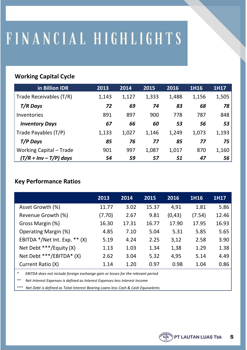#### **Working Capital Cycle**

| in Billion IDR           | 2013  | 2014  | 2015  | 2016  | 1H16  | 1H17  |
|--------------------------|-------|-------|-------|-------|-------|-------|
| Trade Receivables (T/R)  | 1,143 | 1,127 | 1,333 | 1,488 | 1,156 | 1,505 |
| T/R Days                 | 72    | 69    | 74    | 83    | 68    | 78    |
| Inventories              | 891   | 897   | 900   | 778   | 787   | 848   |
| <b>Inventory Days</b>    | 67    | 66    | 60    | 53    | 56    | 53    |
| Trade Payables (T/P)     | 1,133 | 1,027 | 1,146 | 1,249 | 1,073 | 1,193 |
| T/P Days                 | 85    | 76    | 77    | 85    | 77    | 75    |
| Working Capital - Trade  | 901   | 997   | 1,087 | 1,017 | 870   | 1,160 |
| $(T/R + Inv - T/P)$ days | 54    | 59    | 57    | 51    | 47    | 56    |

#### **Key Performance Ratios**

|                                    | 2013   | 2014  | 2015  | 2016    | 1H16   | 1H17  |
|------------------------------------|--------|-------|-------|---------|--------|-------|
| Asset Growth (%)                   | 11.77  | 3.02  | 15.37 | 4,91    | 1.81   | 5.86  |
| Revenue Growth (%)                 | (7.70) | 2.67  | 9.81  | (0, 43) | (7.54) | 12.46 |
| Gross Margin (%)                   | 16.30  | 17.31 | 16.77 | 17.90   | 17.95  | 16.93 |
| <b>Operating Margin (%)</b>        | 4.85   | 7.10  | 5.04  | 5.31    | 5.85   | 5.65  |
| EBITDA $*/$ Net Int. Exp. $**$ (X) | 5.19   | 4.24  | 2.25  | 3,12    | 2.58   | 3.90  |
| Net Debt ***/Equity (X)            | 1.13   | 1.03  | 1.34  | 1,38    | 1.29   | 1.38  |
| Net Debt ***/EBITDA* (X)           | 2.62   | 3.04  | 5.32  | 4,95    | 5.14   | 4.49  |
| Current Ratio (X)                  | 1.14   | 1.20  | 0.97  | 0.98    | 1.04   | 0.86  |

*\* EBITDA does not include foreign exchange gain or losses for the relevant period*

*\*\* Net Interest Expenses is defined as Interest Expenses less Interest Income*

*\*\*\* Net Debt is defined as Total Interest Bearing Loans less Cash & Cash Equivalents*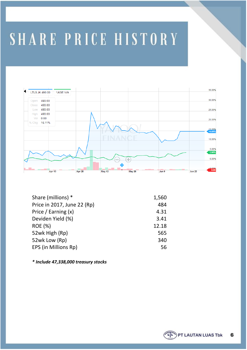### SHARE PRICE HISTORY



| 1,560 |
|-------|
| 484   |
| 4.31  |
| 3.41  |
| 12.18 |
| 565   |
| 340   |
| 56    |
|       |

*\* Include 47,338,000 treasury stocks*